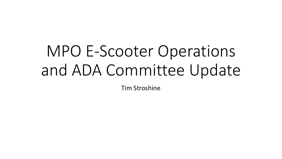# MPO E-Scooter Operations and ADA Committee Update

Tim Stroshine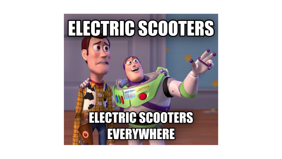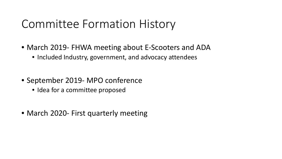### Committee Formation History

- March 2019- FHWA meeting about E-Scooters and ADA
	- Included Industry, government, and advocacy attendees
- September 2019- MPO conference
	- Idea for a committee proposed
- March 2020- First quarterly meeting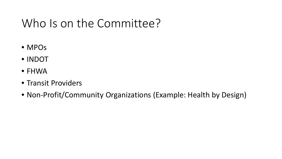## Who Is on the Committee?

- MPOs
- INDOT
- FHWA
- Transit Providers
- Non-Profit/Community Organizations (Example: Health by Design)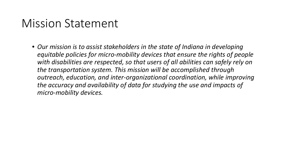#### Mission Statement

• *Our mission is to assist stakeholders in the state of Indiana in developing equitable policies for micro-mobility devices that ensure the rights of people with disabilities are respected, so that users of all abilities can safely rely on the transportation system. This mission will be accomplished through outreach, education, and inter-organizational coordination, while improving the accuracy and availability of data for studying the use and impacts of micro-mobility devices.*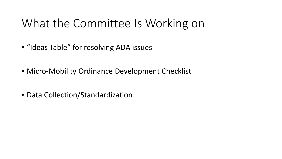## What the Committee Is Working on

- "Ideas Table" for resolving ADA issues
- Micro-Mobility Ordinance Development Checklist
- Data Collection/Standardization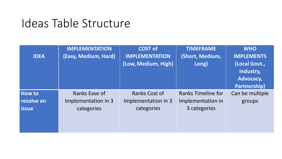#### Ideas Table Structure

| <b>IDEA</b>                                   | <b>IMPLEMENTATION</b><br>(Easy, Medium, Hard)      | <b>COST of</b><br><b>IMPLEMENTATION</b><br>(Low, Medium, High) | <b>TIMEFRAME</b><br>(Short, Medium,<br>Long)                   | <b>WHO</b><br><b>IMPLEMENTS</b><br>(Local Govt.,<br>Industry,<br>Advocacy,<br>Partnership) |
|-----------------------------------------------|----------------------------------------------------|----------------------------------------------------------------|----------------------------------------------------------------|--------------------------------------------------------------------------------------------|
| <b>How to</b><br>resolve an<br><b>l</b> issue | Ranks Ease of<br>Implementation in 3<br>categories | Ranks Cost of<br>Implementation in 3<br>categories             | <b>Ranks Timeline for</b><br>Implementation in<br>3 categories | Can be multiple<br>groups                                                                  |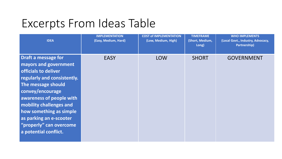| <b>IDEA</b>                                                                                                                                                                                                                                                                                                    | <b>IMPLEMENTATION</b><br>(Easy, Medium, Hard) | <b>COST of IMPLEMENTATION</b><br>(Low, Medium, High) | <b>TIMEFRAME</b><br>(Short, Medium,<br>Long) | <b>WHO IMPLEMENTS</b><br>(Local Govt., Industry, Advocacy,<br>Partnership) |
|----------------------------------------------------------------------------------------------------------------------------------------------------------------------------------------------------------------------------------------------------------------------------------------------------------------|-----------------------------------------------|------------------------------------------------------|----------------------------------------------|----------------------------------------------------------------------------|
| Draft a message for<br>mayors and government<br>officials to deliver<br>regularly and consistently.<br>The message should<br>convey/encourage<br>awareness of people with<br>mobility challenges and<br>how something as simple<br>as parking an e-scooter<br>"properly" can overcome<br>a potential conflict. | <b>EASY</b>                                   | <b>LOW</b>                                           | <b>SHORT</b>                                 | <b>GOVERNMENT</b>                                                          |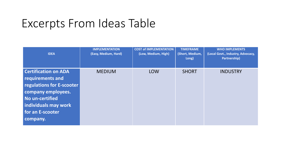| <b>IDEA</b>                                                                                                                                                                   | <b>IMPLEMENTATION</b><br>(Easy, Medium, Hard) | <b>COST of IMPLEMENTATION</b><br>(Low, Medium, High) | <b>TIMEFRAME</b><br>(Short, Medium,<br>Long) | <b>WHO IMPLEMENTS</b><br>(Local Govt., Industry, Advocacy,<br>Partnership) |
|-------------------------------------------------------------------------------------------------------------------------------------------------------------------------------|-----------------------------------------------|------------------------------------------------------|----------------------------------------------|----------------------------------------------------------------------------|
| <b>Certification on ADA</b><br>requirements and<br>regulations for E-scooter<br>company employees.<br>No un-certified<br>individuals may work<br>for an E-scooter<br>company. | <b>MEDIUM</b>                                 | <b>LOW</b>                                           | <b>SHORT</b>                                 | <b>INDUSTRY</b>                                                            |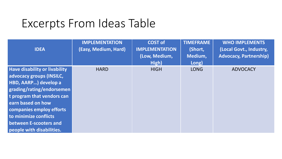| <b>IDEA</b>                                                                                                                                                                                                                                                                                 | <b>IMPLEMENTATION</b><br>(Easy, Medium, Hard) | <b>COST of</b><br><b>IMPLEMENTATION</b><br>(Low, Medium,<br>High) | <b>TIMEFRAME</b><br>(Short,<br>Medium,<br>Long) | <b>WHO IMPLEMENTS</b><br>(Local Govt., Industry,<br><b>Advocacy, Partnership)</b> |
|---------------------------------------------------------------------------------------------------------------------------------------------------------------------------------------------------------------------------------------------------------------------------------------------|-----------------------------------------------|-------------------------------------------------------------------|-------------------------------------------------|-----------------------------------------------------------------------------------|
| <b>Have disability or livability</b><br>advocacy groups (INSILC,<br><b>HBD, AARP) develop a</b><br>grading/rating/endorsemen<br>t program that vendors can<br>earn based on how<br>companies employ efforts<br>to minimize conflicts<br>between E-scooters and<br>people with disabilities. | <b>HARD</b>                                   | <b>HIGH</b>                                                       | <b>LONG</b>                                     | <b>ADVOCACY</b>                                                                   |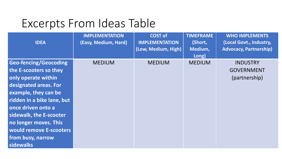| <b>IDEA</b>                                                                                                                                                                                                                                                                                         | <b>IMPLEMENTATION</b><br>(Easy, Medium, Hard) | <b>COST of</b><br><b>IMPLEMENTATION</b><br>(Low, Medium, High) | <b>TIMEFRAME</b><br>(Short,<br>Medium,<br>Long) | <b>WHO IMPLEMENTS</b><br>(Local Govt., Industry,<br><b>Advocacy, Partnership)</b> |
|-----------------------------------------------------------------------------------------------------------------------------------------------------------------------------------------------------------------------------------------------------------------------------------------------------|-----------------------------------------------|----------------------------------------------------------------|-------------------------------------------------|-----------------------------------------------------------------------------------|
| <b>Geo-fencing/Geocoding</b><br>the E-scooters so they<br>only operate within<br>designated areas. For<br>example, they can be<br>ridden in a bike lane, but<br>once driven onto a<br>sidewalk, the E-scooter<br>no longer moves. This<br>would remove E-scooters<br>from busy, narrow<br>sidewalks | <b>MEDIUM</b>                                 | <b>MEDIUM</b>                                                  | <b>MEDIUM</b>                                   | <b>INDUSTRY</b><br><b>GOVERNMENT</b><br>(partnership)                             |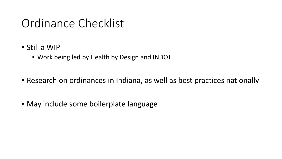### Ordinance Checklist

- Still a WIP
	- Work being led by Health by Design and INDOT
- Research on ordinances in Indiana, as well as best practices nationally
- May include some boilerplate language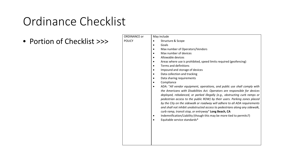## Ordinance Checklist

• Portion of Checklist >>>

| <b>ORDINANCE or</b> | May include                                                                                                                                                                                                                                                                                                                                                                                                                                                                                                                                                                                                                                     |
|---------------------|-------------------------------------------------------------------------------------------------------------------------------------------------------------------------------------------------------------------------------------------------------------------------------------------------------------------------------------------------------------------------------------------------------------------------------------------------------------------------------------------------------------------------------------------------------------------------------------------------------------------------------------------------|
| <b>POLICY</b>       | Structure & Scope<br>٠                                                                                                                                                                                                                                                                                                                                                                                                                                                                                                                                                                                                                          |
|                     | Goals                                                                                                                                                                                                                                                                                                                                                                                                                                                                                                                                                                                                                                           |
|                     | Max number of Operators/Vendors                                                                                                                                                                                                                                                                                                                                                                                                                                                                                                                                                                                                                 |
|                     | Max number of devices                                                                                                                                                                                                                                                                                                                                                                                                                                                                                                                                                                                                                           |
|                     | Allowable devices                                                                                                                                                                                                                                                                                                                                                                                                                                                                                                                                                                                                                               |
|                     | Areas where use is prohibited, speed limits required (geofencing)                                                                                                                                                                                                                                                                                                                                                                                                                                                                                                                                                                               |
|                     | Terms and definitions                                                                                                                                                                                                                                                                                                                                                                                                                                                                                                                                                                                                                           |
|                     | Impound and storage of devices                                                                                                                                                                                                                                                                                                                                                                                                                                                                                                                                                                                                                  |
|                     | Data collection and tracking                                                                                                                                                                                                                                                                                                                                                                                                                                                                                                                                                                                                                    |
|                     | Data sharing requirements                                                                                                                                                                                                                                                                                                                                                                                                                                                                                                                                                                                                                       |
|                     | Compliance                                                                                                                                                                                                                                                                                                                                                                                                                                                                                                                                                                                                                                      |
|                     | ADA: "All vendor equipment, operations, and public use shall comply with<br>the Americans with Disabilities Act. Operators are responsible for devices<br>deployed, rebalanced, or parked illegally (e.g., obstructing curb ramps or<br>pedestrian access to the public ROW) by their users. Parking zones placed<br>by the City on the sidewalk or roadway will adhere to all ADA requirements<br>and shall not inhibit unobstructed access to pedestrians along any sidewalk,<br>curb ramp, transit stop, or entryway" Long Beach, CA<br>Indemnification/Liability (though this may be more tied to permits?)<br>Equitable service standards* |
|                     |                                                                                                                                                                                                                                                                                                                                                                                                                                                                                                                                                                                                                                                 |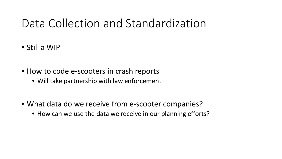#### Data Collection and Standardization

- Still a WIP
- How to code e-scooters in crash reports
	- Will take partnership with law enforcement
- What data do we receive from e-scooter companies?
	- How can we use the data we receive in our planning efforts?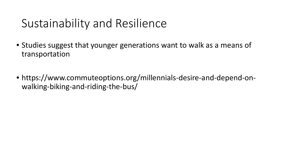- Studies suggest that younger generations want to walk as a means of transportation
- https://www.commuteoptions.org/millennials-desire-and-depend-onwalking-biking-and-riding-the-bus/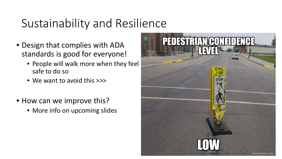- Design that complies with ADA standards is good for everyone!
	- People will walk more when they feel safe to do so
	- We want to avoid this >>>
- How can we improve this?
	- More info on upcoming slides

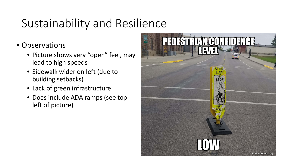- Observations
	- Picture shows very "open" feel, may lead to high speeds
	- Sidewalk wider on left (due to building setbacks)
	- Lack of green infrastructure
	- Does include ADA ramps (see top left of picture)

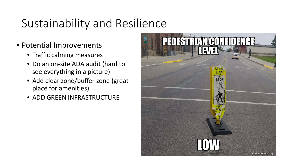- Potential Improvements
	- Traffic calming measures
	- Do an on-site ADA audit (hard to see everything in a picture)
	- Add clear zone/buffer zone (great place for amenities)
	- ADD GREEN INFRASTRUCTURE

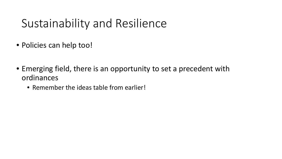- Policies can help too!
- Emerging field, there is an opportunity to set a precedent with ordinances
	- Remember the ideas table from earlier!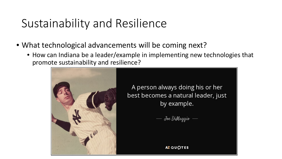- What technological advancements will be coming next?
	- How can Indiana be a leader/example in implementing new technologies that promote sustainability and resilience?